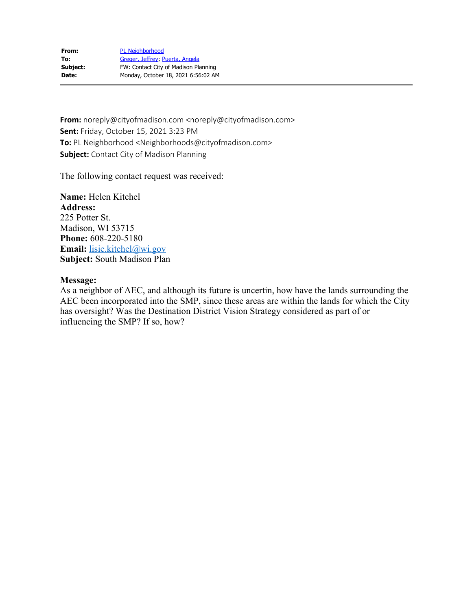**From:** noreply@cityofmadison.com <noreply@cityofmadison.com> **Sent:** Friday, October 15, 2021 3:23 PM **To:** PL Neighborhood <Neighborhoods@cityofmadison.com> **Subject:** Contact City of Madison Planning

The following contact request was received:

**Name:** Helen Kitchel **Address:** 225 Potter St. Madison, WI 53715 **Phone:** 608-220-5180 **Email:** [lisie.kitchel@wi.gov](mailto:lisie.kitchel@wi.gov) **Subject:** South Madison Plan

# **Message:**

As a neighbor of AEC, and although its future is uncertin, how have the lands surrounding the AEC been incorporated into the SMP, since these areas are within the lands for which the City has oversight? Was the Destination District Vision Strategy considered as part of or influencing the SMP? If so, how?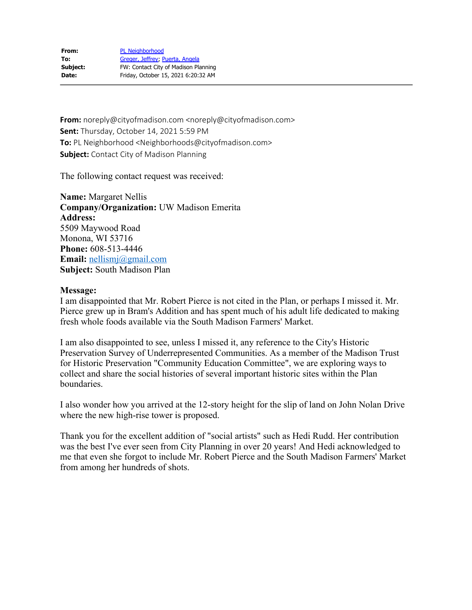| From:    | <b>PL Neighborhood</b>               |
|----------|--------------------------------------|
| To:      | Greger, Jeffrey; Puerta, Angela      |
| Subject: | FW: Contact City of Madison Planning |
| Date:    | Friday, October 15, 2021 6:20:32 AM  |

**From:** noreply@cityofmadison.com <noreply@cityofmadison.com> **Sent:** Thursday, October 14, 2021 5:59 PM **To:** PL Neighborhood <Neighborhoods@cityofmadison.com> **Subject:** Contact City of Madison Planning

The following contact request was received:

**Name:** Margaret Nellis **Company/Organization:** UW Madison Emerita **Address:** 5509 Maywood Road Monona, WI 53716 **Phone:** 608-513-4446 **Email:** [nellismj@gmail.com](mailto:nellismj@gmail.com) **Subject:** South Madison Plan

### **Message:**

I am disappointed that Mr. Robert Pierce is not cited in the Plan, or perhaps I missed it. Mr. Pierce grew up in Bram's Addition and has spent much of his adult life dedicated to making fresh whole foods available via the South Madison Farmers' Market.

I am also disappointed to see, unless I missed it, any reference to the City's Historic Preservation Survey of Underrepresented Communities. As a member of the Madison Trust for Historic Preservation "Community Education Committee", we are exploring ways to collect and share the social histories of several important historic sites within the Plan boundaries.

I also wonder how you arrived at the 12-story height for the slip of land on John Nolan Drive where the new high-rise tower is proposed.

Thank you for the excellent addition of "social artists" such as Hedi Rudd. Her contribution was the best I've ever seen from City Planning in over 20 years! And Hedi acknowledged to me that even she forgot to include Mr. Robert Pierce and the South Madison Farmers' Market from among her hundreds of shots.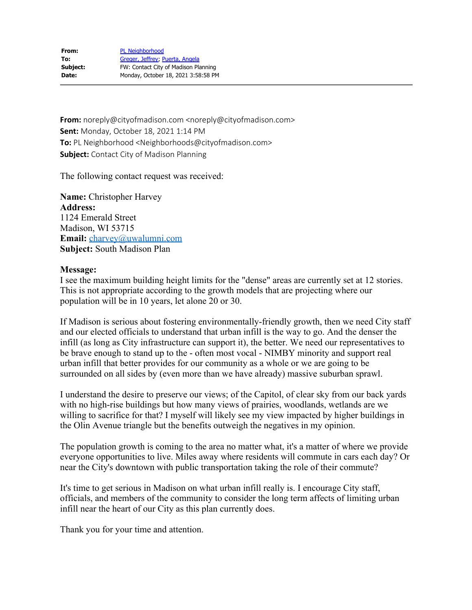**From:** noreply@cityofmadison.com <noreply@cityofmadison.com> **Sent:** Monday, October 18, 2021 1:14 PM **To:** PL Neighborhood <Neighborhoods@cityofmadison.com> **Subject:** Contact City of Madison Planning

The following contact request was received:

**Name:** Christopher Harvey **Address:** 1124 Emerald Street Madison, WI 53715 **Email:** [charvey@uwalumni.com](mailto:charvey@uwalumni.com) **Subject:** South Madison Plan

# **Message:**

I see the maximum building height limits for the "dense" areas are currently set at 12 stories. This is not appropriate according to the growth models that are projecting where our population will be in 10 years, let alone 20 or 30.

If Madison is serious about fostering environmentally-friendly growth, then we need City staff and our elected officials to understand that urban infill is the way to go. And the denser the infill (as long as City infrastructure can support it), the better. We need our representatives to be brave enough to stand up to the - often most vocal - NIMBY minority and support real urban infill that better provides for our community as a whole or we are going to be surrounded on all sides by (even more than we have already) massive suburban sprawl.

I understand the desire to preserve our views; of the Capitol, of clear sky from our back yards with no high-rise buildings but how many views of prairies, woodlands, wetlands are we willing to sacrifice for that? I myself will likely see my view impacted by higher buildings in the Olin Avenue triangle but the benefits outweigh the negatives in my opinion.

The population growth is coming to the area no matter what, it's a matter of where we provide everyone opportunities to live. Miles away where residents will commute in cars each day? Or near the City's downtown with public transportation taking the role of their commute?

It's time to get serious in Madison on what urban infill really is. I encourage City staff, officials, and members of the community to consider the long term affects of limiting urban infill near the heart of our City as this plan currently does.

Thank you for your time and attention.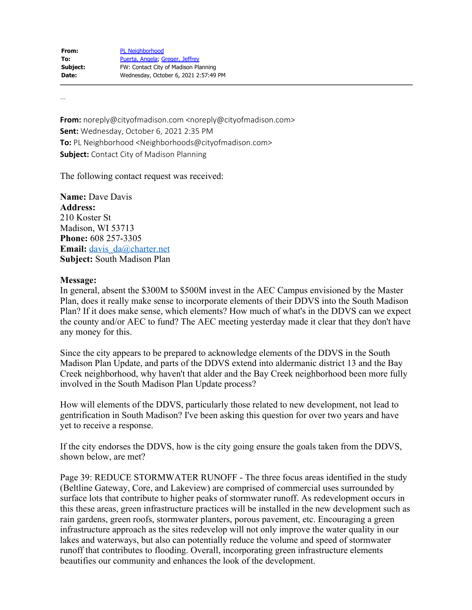| From:    | <b>PL Neighborhood</b>                |
|----------|---------------------------------------|
| To:      | Puerta, Angela; Greger, Jeffrey       |
| Subject: | FW: Contact City of Madison Planning  |
| Date:    | Wednesday, October 6, 2021 2:57:49 PM |

…

**From:** noreply@cityofmadison.com <noreply@cityofmadison.com> **Sent:** Wednesday, October 6, 2021 2:35 PM **To:** PL Neighborhood <Neighborhoods@cityofmadison.com> **Subject:** Contact City of Madison Planning

The following contact request was received:

**Name:** Dave Davis **Address:** 210 Koster St Madison, WI 53713 **Phone:** 608 257-3305 **Email:** davis da@charter.net **Subject:** South Madison Plan

### **Message:**

In general, absent the \$300M to \$500M invest in the AEC Campus envisioned by the Master Plan, does it really make sense to incorporate elements of their DDVS into the South Madison Plan? If it does make sense, which elements? How much of what's in the DDVS can we expect the county and/or AEC to fund? The AEC meeting yesterday made it clear that they don't have any money for this.

Since the city appears to be prepared to acknowledge elements of the DDVS in the South Madison Plan Update, and parts of the DDVS extend into aldermanic district 13 and the Bay Creek neighborhood, why haven't that alder and the Bay Creek neighborhood been more fully involved in the South Madison Plan Update process?

How will elements of the DDVS, particularly those related to new development, not lead to gentrification in South Madison? I've been asking this question for over two years and have yet to receive a response.

If the city endorses the DDVS, how is the city going ensure the goals taken from the DDVS, shown below, are met?

Page 39: REDUCE STORMWATER RUNOFF - The three focus areas identified in the study (Beltline Gateway, Core, and Lakeview) are comprised of commercial uses surrounded by surface lots that contribute to higher peaks of stormwater runoff. As redevelopment occurs in this these areas, green infrastructure practices will be installed in the new development such as rain gardens, green roofs, stormwater planters, porous pavement, etc. Encouraging a green infrastructure approach as the sites redevelop will not only improve the water quality in our lakes and waterways, but also can potentially reduce the volume and speed of stormwater runoff that contributes to flooding. Overall, incorporating green infrastructure elements beautifies our community and enhances the look of the development.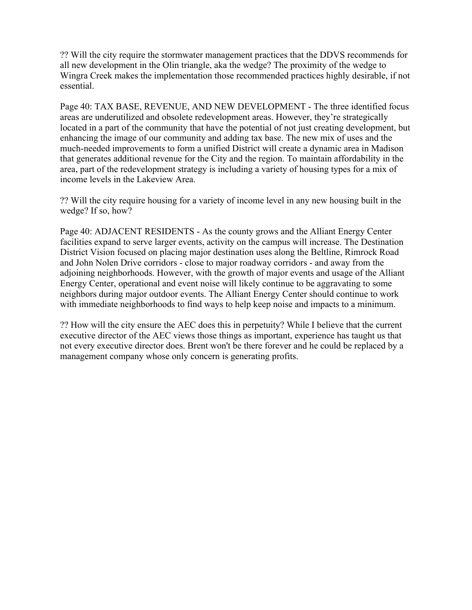?? Will the city require the stormwater management practices that the DDVS recommends for all new development in the Olin triangle, aka the wedge? The proximity of the wedge to Wingra Creek makes the implementation those recommended practices highly desirable, if not essential.

Page 40: TAX BASE, REVENUE, AND NEW DEVELOPMENT - The three identified focus areas are underutilized and obsolete redevelopment areas. However, they're strategically located in a part of the community that have the potential of not just creating development, but enhancing the image of our community and adding tax base. The new mix of uses and the much-needed improvements to form a unified District will create a dynamic area in Madison that generates additional revenue for the City and the region. To maintain affordability in the area, part of the redevelopment strategy is including a variety of housing types for a mix of income levels in the Lakeview Area.

?? Will the city require housing for a variety of income level in any new housing built in the wedge? If so, how?

Page 40: ADJACENT RESIDENTS - As the county grows and the Alliant Energy Center facilities expand to serve larger events, activity on the campus will increase. The Destination District Vision focused on placing major destination uses along the Beltline, Rimrock Road and John Nolen Drive corridors - close to major roadway corridors - and away from the adjoining neighborhoods. However, with the growth of major events and usage of the Alliant Energy Center, operational and event noise will likely continue to be aggravating to some neighbors during major outdoor events. The Alliant Energy Center should continue to work with immediate neighborhoods to find ways to help keep noise and impacts to a minimum.

?? How will the city ensure the AEC does this in perpetuity? While I believe that the current executive director of the AEC views those things as important, experience has taught us that not every executive director does. Brent won't be there forever and he could be replaced by a management company whose only concern is generating profits.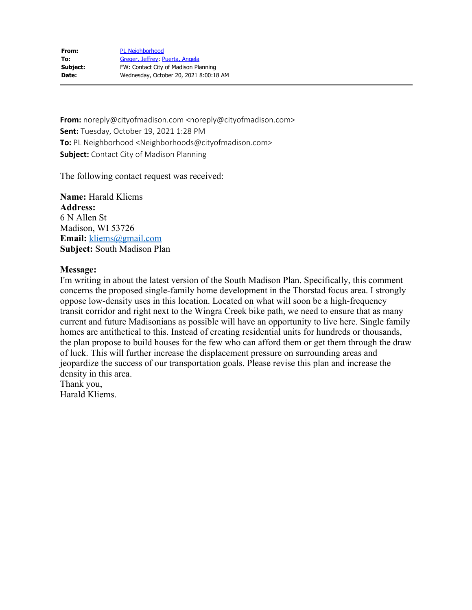**From:** noreply@cityofmadison.com <noreply@cityofmadison.com> **Sent:** Tuesday, October 19, 2021 1:28 PM **To:** PL Neighborhood <Neighborhoods@cityofmadison.com> **Subject:** Contact City of Madison Planning

The following contact request was received:

**Name:** Harald Kliems **Address:** 6 N Allen St Madison, WI 53726 **Email:** [kliems@gmail.com](mailto:kliems@gmail.com) **Subject:** South Madison Plan

# **Message:**

I'm writing in about the latest version of the South Madison Plan. Specifically, this comment concerns the proposed single-family home development in the Thorstad focus area. I strongly oppose low-density uses in this location. Located on what will soon be a high-frequency transit corridor and right next to the Wingra Creek bike path, we need to ensure that as many current and future Madisonians as possible will have an opportunity to live here. Single family homes are antithetical to this. Instead of creating residential units for hundreds or thousands, the plan propose to build houses for the few who can afford them or get them through the draw of luck. This will further increase the displacement pressure on surrounding areas and jeopardize the success of our transportation goals. Please revise this plan and increase the density in this area.

Thank you, Harald Kliems.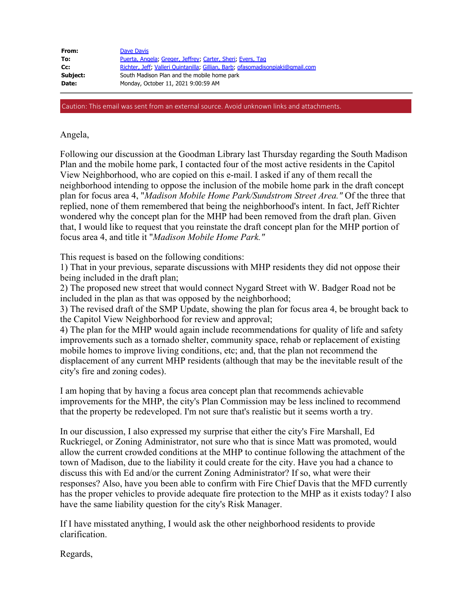| From:    | Dave Davis                                                                     |
|----------|--------------------------------------------------------------------------------|
| To:      | Puerta, Angela; Greger, Jeffrey; Carter, Sheri; Evers, Tag                     |
| Cc:      | Richter, Jeff, Valleri Quintanilla; Gillian, Barb; ofasomadisonpiaki@qmail.com |
| Subject: | South Madison Plan and the mobile home park                                    |
| Date:    | Monday, October 11, 2021 9:00:59 AM                                            |

Caution: This email was sent from an external source. Avoid unknown links and attachments.

## Angela,

Following our discussion at the Goodman Library last Thursday regarding the South Madison Plan and the mobile home park, I contacted four of the most active residents in the Capitol View Neighborhood, who are copied on this e-mail. I asked if any of them recall the neighborhood intending to oppose the inclusion of the mobile home park in the draft concept plan for focus area 4, "*Madison Mobile Home Park/Sundstrom Street Area."* Of the three that replied, none of them remembered that being the neighborhood's intent. In fact, Jeff Richter wondered why the concept plan for the MHP had been removed from the draft plan. Given that, I would like to request that you reinstate the draft concept plan for the MHP portion of focus area 4, and title it "*Madison Mobile Home Park."*

This request is based on the following conditions:

1) That in your previous, separate discussions with MHP residents they did not oppose their being included in the draft plan;

2) The proposed new street that would connect Nygard Street with W. Badger Road not be included in the plan as that was opposed by the neighborhood;

3) The revised draft of the SMP Update, showing the plan for focus area 4, be brought back to the Capitol View Neighborhood for review and approval;

4) The plan for the MHP would again include recommendations for quality of life and safety improvements such as a tornado shelter, community space, rehab or replacement of existing mobile homes to improve living conditions, etc; and, that the plan not recommend the displacement of any current MHP residents (although that may be the inevitable result of the city's fire and zoning codes).

I am hoping that by having a focus area concept plan that recommends achievable improvements for the MHP, the city's Plan Commission may be less inclined to recommend that the property be redeveloped. I'm not sure that's realistic but it seems worth a try.

In our discussion, I also expressed my surprise that either the city's Fire Marshall, Ed Ruckriegel, or Zoning Administrator, not sure who that is since Matt was promoted, would allow the current crowded conditions at the MHP to continue following the attachment of the town of Madison, due to the liability it could create for the city. Have you had a chance to discuss this with Ed and/or the current Zoning Administrator? If so, what were their responses? Also, have you been able to confirm with Fire Chief Davis that the MFD currently has the proper vehicles to provide adequate fire protection to the MHP as it exists today? I also have the same liability question for the city's Risk Manager.

If I have misstated anything, I would ask the other neighborhood residents to provide clarification.

Regards,